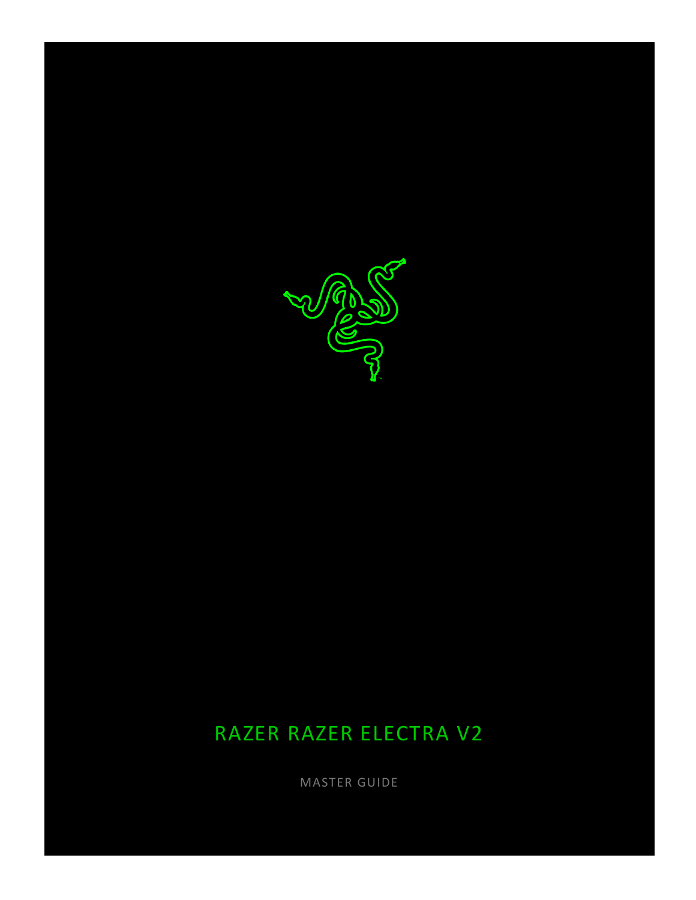

# RAZER RAZER ELECTRA V2

MASTER GUIDE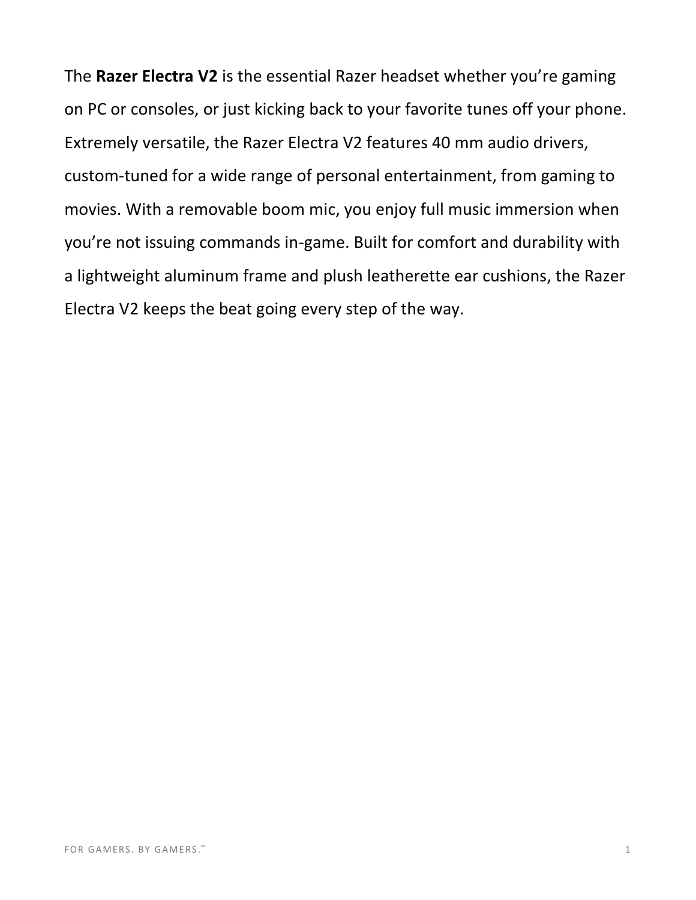The **Razer Electra V2** is the essential Razer headset whether you're gaming on PC or consoles, or just kicking back to your favorite tunes off your phone. Extremely versatile, the Razer Electra V2 features 40 mm audio drivers, custom-tuned for a wide range of personal entertainment, from gaming to movies. With a removable boom mic, you enjoy full music immersion when you're not issuing commands in-game. Built for comfort and durability with a lightweight aluminum frame and plush leatherette ear cushions, the Razer Electra V2 keeps the beat going every step of the way.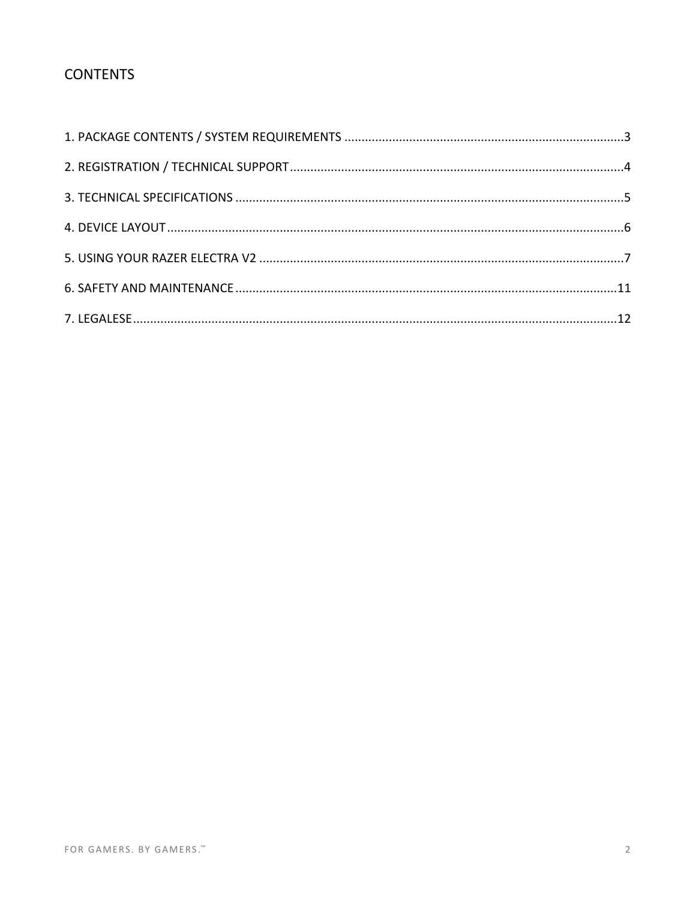### **CONTENTS**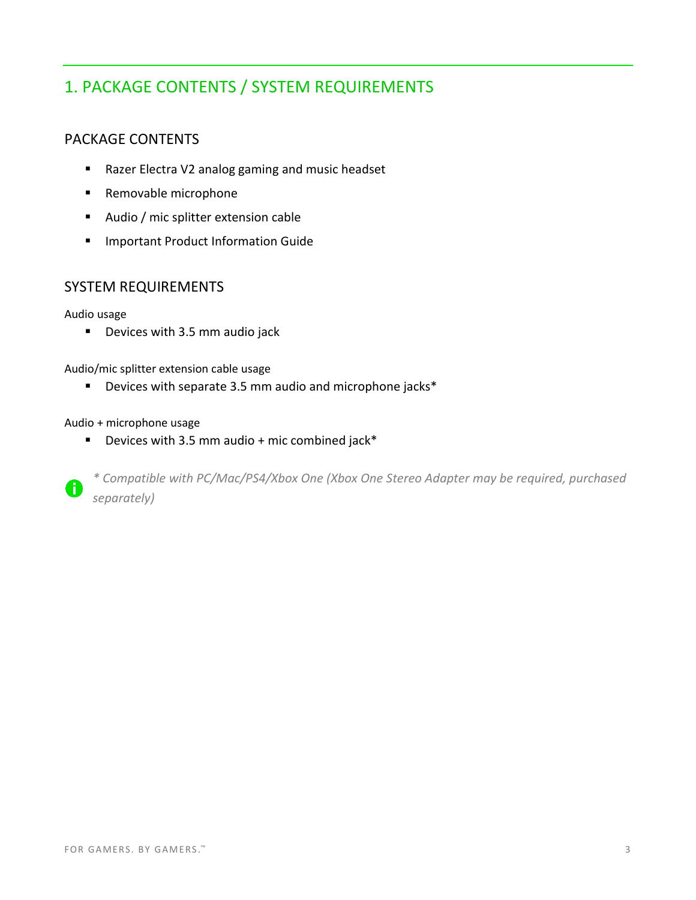# <span id="page-3-0"></span>1. PACKAGE CONTENTS / SYSTEM REQUIREMENTS

### PACKAGE CONTENTS

- Razer Electra V2 analog gaming and music headset
- Removable microphone
- Audio / mic splitter extension cable
- Important Product Information Guide

#### SYSTEM REQUIREMENTS

#### Audio usage

■ Devices with 3.5 mm audio jack

Audio/mic splitter extension cable usage

■ Devices with separate 3.5 mm audio and microphone jacks\*

#### Audio + microphone usage

■ Devices with 3.5 mm audio + mic combined jack\*

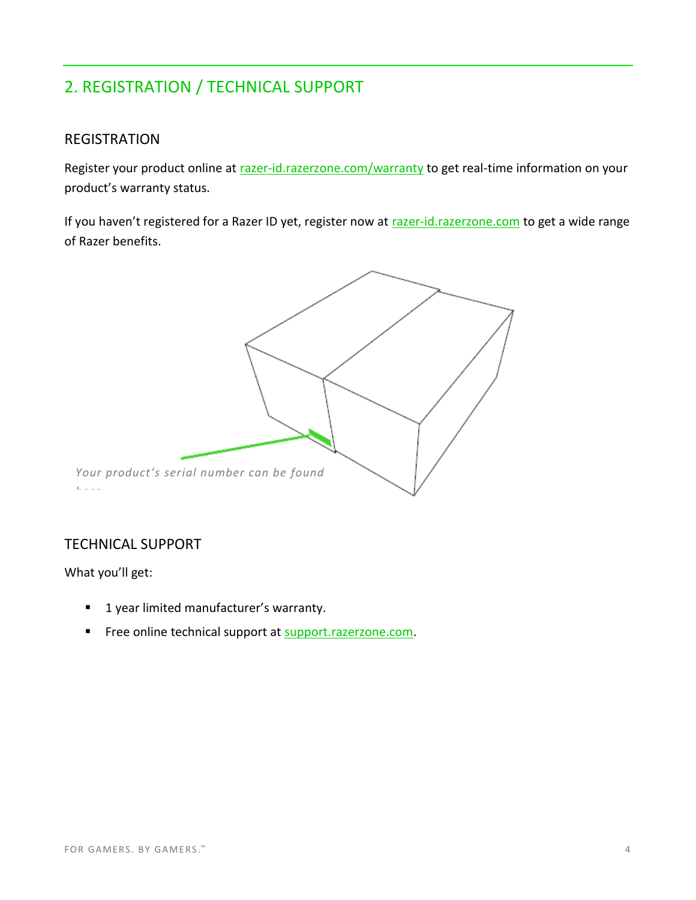# <span id="page-4-0"></span>2. REGISTRATION / TECHNICAL SUPPORT

### REGISTRATION

Register your product online at [razer-id.razerzone.com/warranty](http://razer-id.razerzone.com/warranty) to get real-time information on your product's warranty status.

If you haven't registered for a Razer ID yet, register now at [razer-id.razerzone.com](http://razer-id.razerzone.com/) to get a wide range of Razer benefits.



### TECHNICAL SUPPORT

What you'll get:

- 1 year limited manufacturer's warranty.
- Free online technical support at [support.razerzone.com.](http://www.support.razerzone.com/)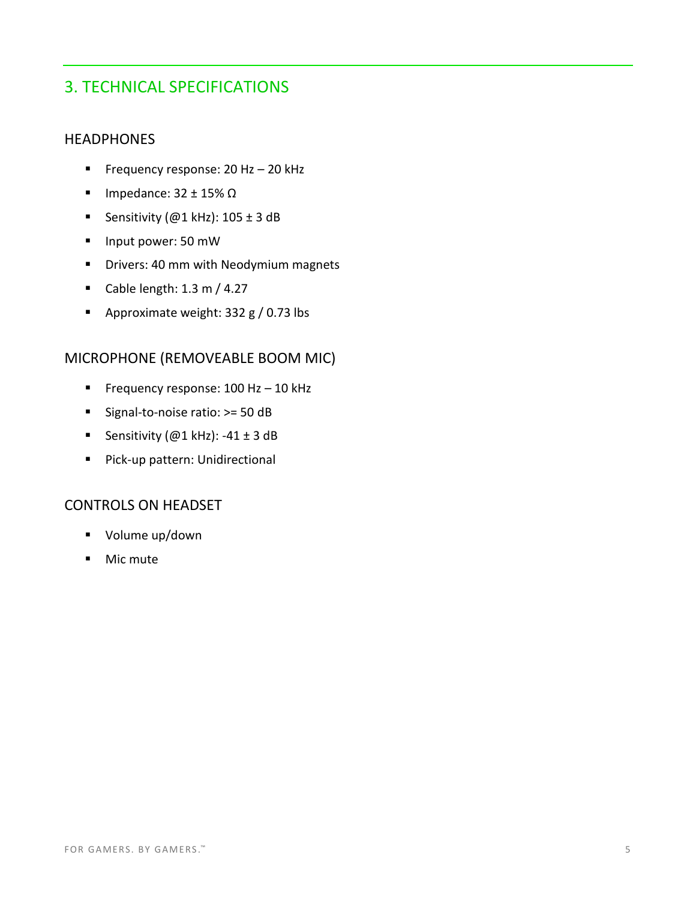### <span id="page-5-0"></span>3. TECHNICAL SPECIFICATIONS

### **HEADPHONES**

- Frequency response: 20 Hz 20 kHz
- Impedance:  $32 \pm 15\%$  Ω
- Sensitivity (@1 kHz):  $105 \pm 3$  dB
- Input power: 50 mW
- **■** Drivers: 40 mm with Neodymium magnets
- Cable length:  $1.3$  m /  $4.27$
- Approximate weight: 332 g / 0.73 lbs

### MICROPHONE (REMOVEABLE BOOM MIC)

- Frequency response: 100 Hz 10 kHz
- Signal-to-noise ratio: >= 50 dB
- Sensitivity (@1 kHz): -41 ± 3 dB
- Pick-up pattern: Unidirectional

#### CONTROLS ON HEADSET

- Volume up/down
- Mic mute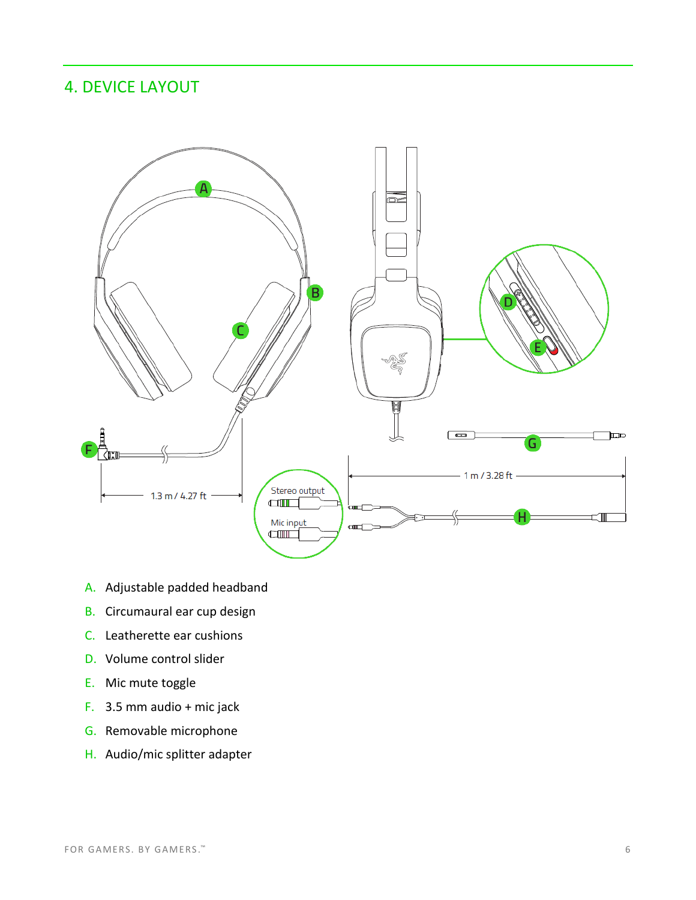### <span id="page-6-0"></span>4. DEVICE LAYOUT



- A. Adjustable padded headband
- B. Circumaural ear cup design
- C. Leatherette ear cushions
- D. Volume control slider
- E. Mic mute toggle
- F. 3.5 mm audio + mic jack
- G. Removable microphone
- H. Audio/mic splitter adapter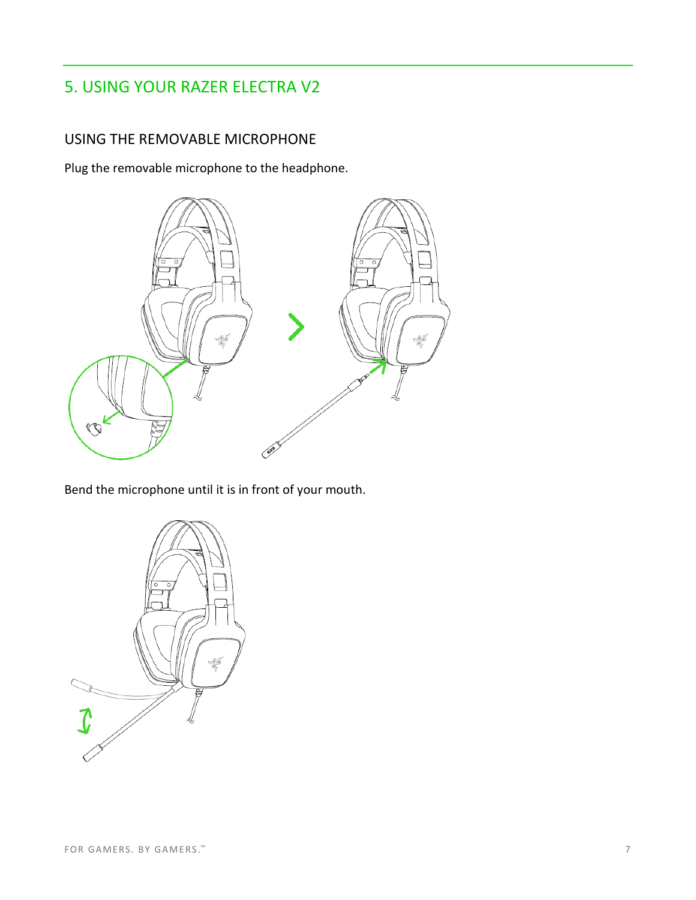### <span id="page-7-0"></span>5. USING YOUR RAZER ELECTRA V2

### USING THE REMOVABLE MICROPHONE

Plug the removable microphone to the headphone.



Bend the microphone until it is in front of your mouth.

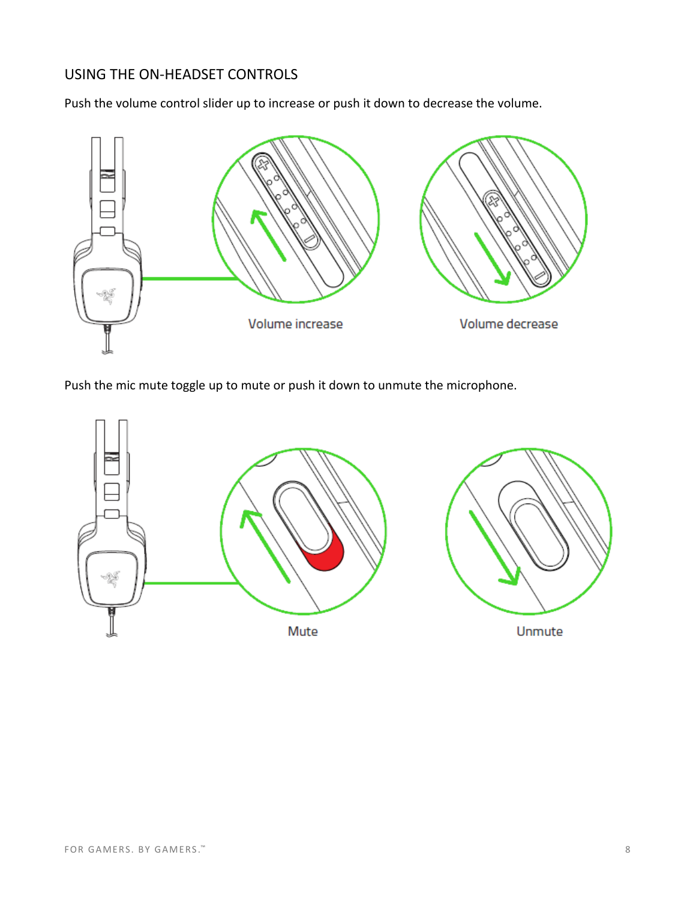### USING THE ON-HEADSET CONTROLS

Push the volume control slider up to increase or push it down to decrease the volume.



Push the mic mute toggle up to mute or push it down to unmute the microphone.

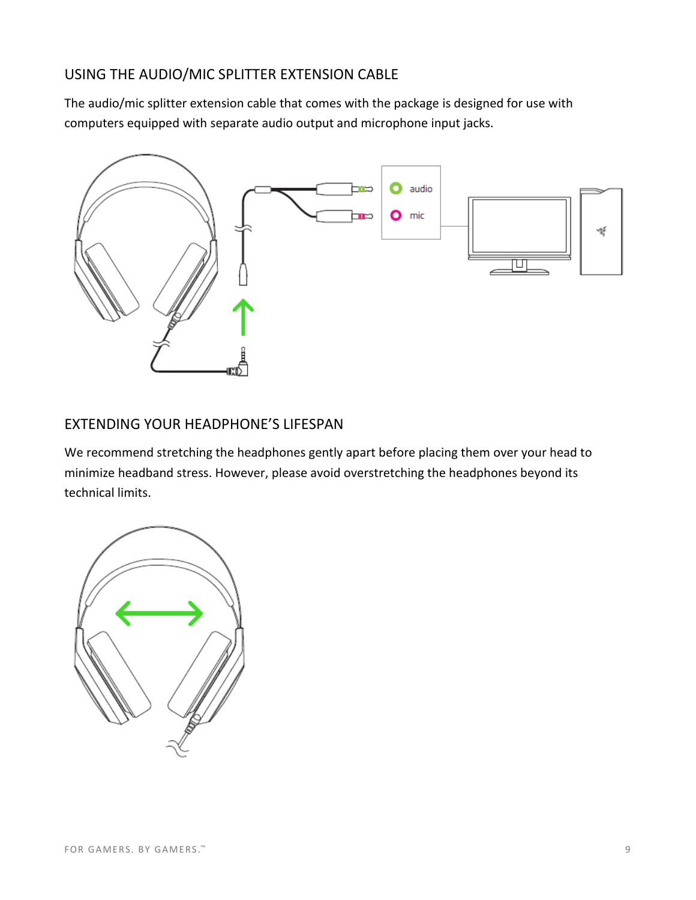### USING THE AUDIO/MIC SPLITTER EXTENSION CABLE

The audio/mic splitter extension cable that comes with the package is designed for use with computers equipped with separate audio output and microphone input jacks.



### EXTENDING YOUR HEADPHONE'S LIFESPAN

We recommend stretching the headphones gently apart before placing them over your head to minimize headband stress. However, please avoid overstretching the headphones beyond its technical limits.

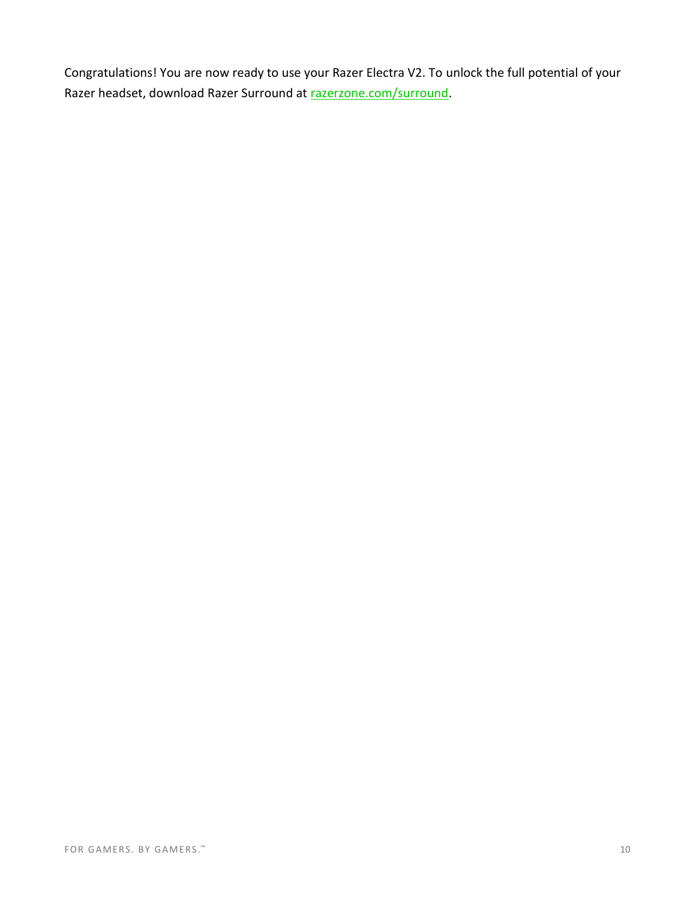Congratulations! You are now ready to use your Razer Electra V2. To unlock the full potential of your Razer headset, download Razer Surround at [razerzone.com/surround.](http://www.razerzone.com/surround)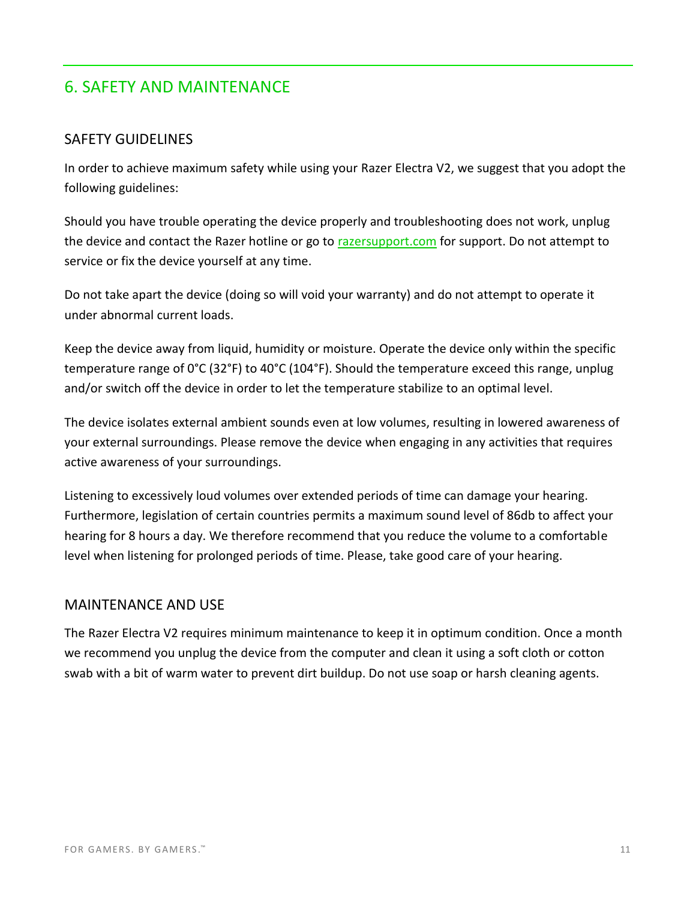### <span id="page-11-0"></span>6. SAFETY AND MAINTENANCE

### SAFETY GUIDELINES

In order to achieve maximum safety while using your Razer Electra V2, we suggest that you adopt the following guidelines:

Should you have trouble operating the device properly and troubleshooting does not work, unplug the device and contact the Razer hotline or go to [razersupport.com](http://www.razersupport.com/) for support. Do not attempt to service or fix the device yourself at any time.

Do not take apart the device (doing so will void your warranty) and do not attempt to operate it under abnormal current loads.

Keep the device away from liquid, humidity or moisture. Operate the device only within the specific temperature range of 0°C (32°F) to 40°C (104°F). Should the temperature exceed this range, unplug and/or switch off the device in order to let the temperature stabilize to an optimal level.

The device isolates external ambient sounds even at low volumes, resulting in lowered awareness of your external surroundings. Please remove the device when engaging in any activities that requires active awareness of your surroundings.

Listening to excessively loud volumes over extended periods of time can damage your hearing. Furthermore, legislation of certain countries permits a maximum sound level of 86db to affect your hearing for 8 hours a day. We therefore recommend that you reduce the volume to a comfortable level when listening for prolonged periods of time. Please, take good care of your hearing.

#### MAINTENANCE AND USE

The Razer Electra V2 requires minimum maintenance to keep it in optimum condition. Once a month we recommend you unplug the device from the computer and clean it using a soft cloth or cotton swab with a bit of warm water to prevent dirt buildup. Do not use soap or harsh cleaning agents.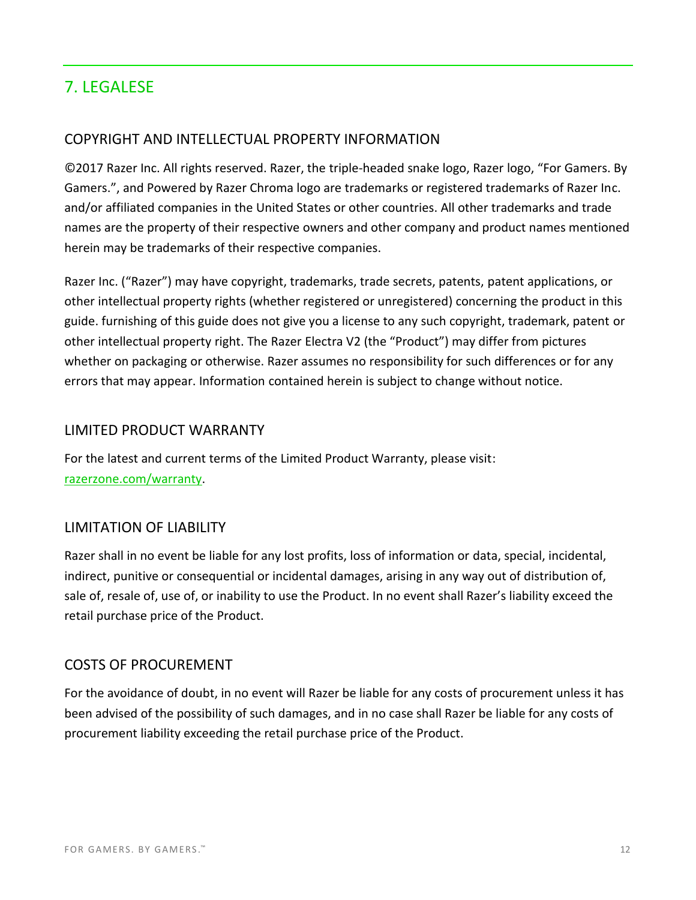### <span id="page-12-0"></span>7. LEGALESE

### COPYRIGHT AND INTELLECTUAL PROPERTY INFORMATION

©2017 Razer Inc. All rights reserved. Razer, the triple-headed snake logo, Razer logo, "For Gamers. By Gamers.", and Powered by Razer Chroma logo are trademarks or registered trademarks of Razer Inc. and/or affiliated companies in the United States or other countries. All other trademarks and trade names are the property of their respective owners and other company and product names mentioned herein may be trademarks of their respective companies.

Razer Inc. ("Razer") may have copyright, trademarks, trade secrets, patents, patent applications, or other intellectual property rights (whether registered or unregistered) concerning the product in this guide. furnishing of this guide does not give you a license to any such copyright, trademark, patent or other intellectual property right. The Razer Electra V2 (the "Product") may differ from pictures whether on packaging or otherwise. Razer assumes no responsibility for such differences or for any errors that may appear. Information contained herein is subject to change without notice.

#### LIMITED PRODUCT WARRANTY

For the latest and current terms of the Limited Product Warranty, please visit: [razerzone.com/warranty.](http://www.razerzone.com/warranty)

#### LIMITATION OF LIABILITY

Razer shall in no event be liable for any lost profits, loss of information or data, special, incidental, indirect, punitive or consequential or incidental damages, arising in any way out of distribution of, sale of, resale of, use of, or inability to use the Product. In no event shall Razer's liability exceed the retail purchase price of the Product.

#### COSTS OF PROCUREMENT

For the avoidance of doubt, in no event will Razer be liable for any costs of procurement unless it has been advised of the possibility of such damages, and in no case shall Razer be liable for any costs of procurement liability exceeding the retail purchase price of the Product.